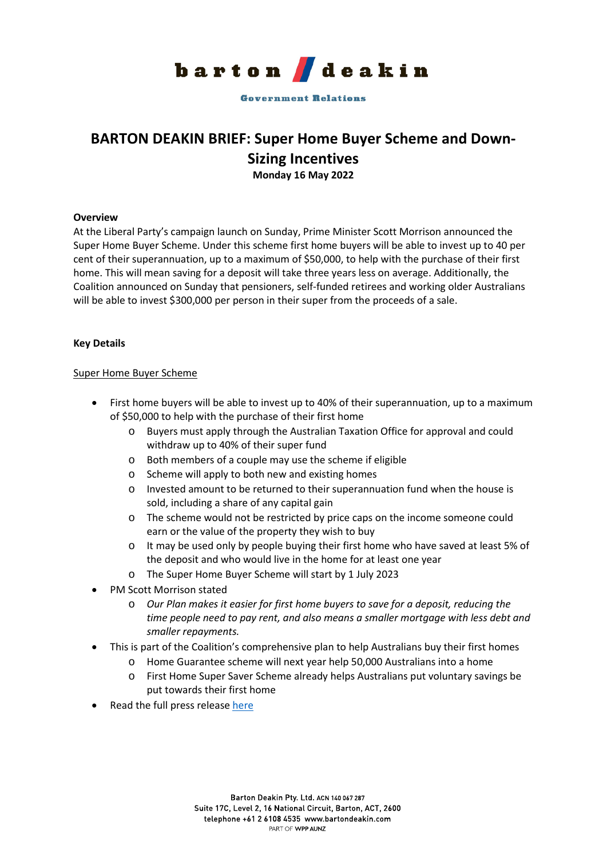

**Government Relations** 

# **BARTON DEAKIN BRIEF: Super Home Buyer Scheme and Down-Sizing Incentives Monday 16 May 2022**

## **Overview**

At the Liberal Party's campaign launch on Sunday, Prime Minister Scott Morrison announced the Super Home Buyer Scheme. Under this scheme first home buyers will be able to invest up to 40 per cent of their superannuation, up to a maximum of \$50,000, to help with the purchase of their first home. This will mean saving for a deposit will take three years less on average. Additionally, the Coalition announced on Sunday that pensioners, self-funded retirees and working older Australians will be able to invest \$300,000 per person in their super from the proceeds of a sale.

## **Key Details**

#### Super Home Buyer Scheme

- First home buyers will be able to invest up to 40% of their superannuation, up to a maximum of \$50,000 to help with the purchase of their first home
	- o Buyers must apply through the Australian Taxation Office for approval and could withdraw up to 40% of their super fund
	- o Both members of a couple may use the scheme if eligible
	- o Scheme will apply to both new and existing homes
	- o Invested amount to be returned to their superannuation fund when the house is sold, including a share of any capital gain
	- o The scheme would not be restricted by price caps on the income someone could earn or the value of the property they wish to buy
	- o It may be used only by people buying their first home who have saved at least 5% of the deposit and who would live in the home for at least one year
	- o The Super Home Buyer Scheme will start by 1 July 2023
- PM Scott Morrison stated
	- o *Our Plan makes it easier for first home buyers to save for a deposit, reducing the time people need to pay rent, and also means a smaller mortgage with less debt and smaller repayments.*
- This is part of the Coalition's comprehensive plan to help Australians buy their first homes
	- o Home Guarantee scheme will next year help 50,000 Australians into a home
	- o First Home Super Saver Scheme already helps Australians put voluntary savings be put towards their first home
- Read the full press release [here](https://www.liberal.org.au/latest-news/2022/05/15/harnessing-super-realise-australian-dream-home-ownership)